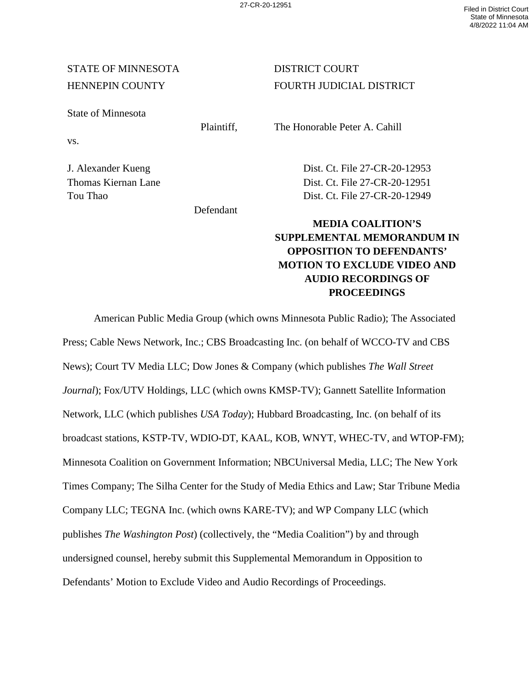## STATE OF MINNESOTA DISTRICT COURT

State of Minnesota

vs.

Defendant

HENNEPIN COUNTY FOURTH JUDICIAL DISTRICT

Plaintiff, The Honorable Peter A. Cahill

J. Alexander Kueng Dist. Ct. File 27-CR-20-12953 Thomas Kiernan Lane Dist. Ct. File 27-CR-20-12951 Tou Thao Dist. Ct. File 27-CR-20-12949

## **MEDIA COALITION'S SUPPLEMENTAL MEMORANDUM IN OPPOSITION TO DEFENDANTS' MOTION TO EXCLUDE VIDEO AND AUDIO RECORDINGS OF PROCEEDINGS**

American Public Media Group (which owns Minnesota Public Radio); The Associated Press; Cable News Network, Inc.; CBS Broadcasting Inc. (on behalf of WCCO-TV and CBS News); Court TV Media LLC; Dow Jones & Company (which publishes *The Wall Street Journal*); Fox/UTV Holdings, LLC (which owns KMSP-TV); Gannett Satellite Information Network, LLC (which publishes *USA Today*); Hubbard Broadcasting, Inc. (on behalf of its broadcast stations, KSTP-TV, WDIO-DT, KAAL, KOB, WNYT, WHEC-TV, and WTOP-FM); Minnesota Coalition on Government Information; NBCUniversal Media, LLC; The New York Times Company; The Silha Center for the Study of Media Ethics and Law; Star Tribune Media Company LLC; TEGNA Inc. (which owns KARE-TV); and WP Company LLC (which publishes *The Washington Post*) (collectively, the "Media Coalition") by and through undersigned counsel, hereby submit this Supplemental Memorandum in Opposition to Defendants' Motion to Exclude Video and Audio Recordings of Proceedings.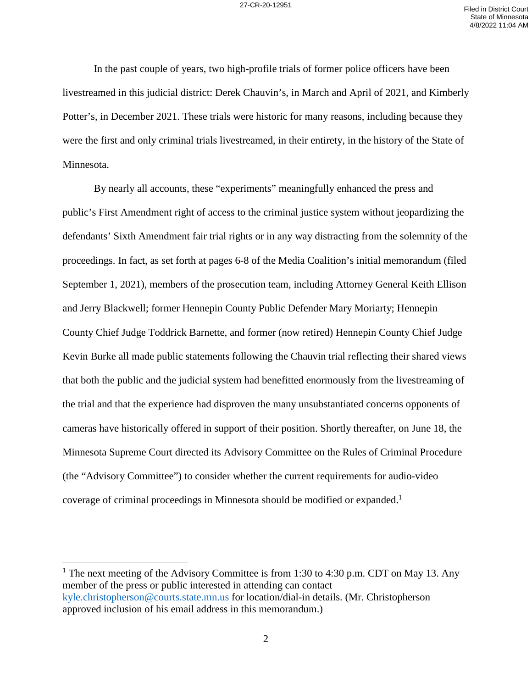In the past couple of years, two high-profile trials of former police officers have been livestreamed in this judicial district: Derek Chauvin's, in March and April of 2021, and Kimberly Potter's, in December 2021. These trials were historic for many reasons, including because they were the first and only criminal trials livestreamed, in their entirety, in the history of the State of Minnesota.

By nearly all accounts, these "experiments" meaningfully enhanced the press and public's First Amendment right of access to the criminal justice system without jeopardizing the defendants' Sixth Amendment fair trial rights or in any way distracting from the solemnity of the proceedings. In fact, as set forth at pages 6-8 of the Media Coalition's initial memorandum (filed September 1, 2021), members of the prosecution team, including Attorney General Keith Ellison and Jerry Blackwell; former Hennepin County Public Defender Mary Moriarty; Hennepin County Chief Judge Toddrick Barnette, and former (now retired) Hennepin County Chief Judge Kevin Burke all made public statements following the Chauvin trial reflecting their shared views that both the public and the judicial system had benefitted enormously from the livestreaming of the trial and that the experience had disproven the many unsubstantiated concerns opponents of cameras have historically offered in support of their position. Shortly thereafter, on June 18, the Minnesota Supreme Court directed its Advisory Committee on the Rules of Criminal Procedure (the "Advisory Committee") to consider whether the current requirements for audio-video coverage of criminal proceedings in Minnesota should be modified or expanded.<sup>1</sup>

<sup>&</sup>lt;sup>1</sup> The next meeting of the Advisory Committee is from 1:30 to 4:30 p.m. CDT on May 13. Any member of the press or public interested in attending can contact [kyle.christopherson@courts.state.mn.us](mailto:kyle.christopherson@courts.state.mn.us) for location/dial-in details. (Mr. Christopherson approved inclusion of his email address in this memorandum.)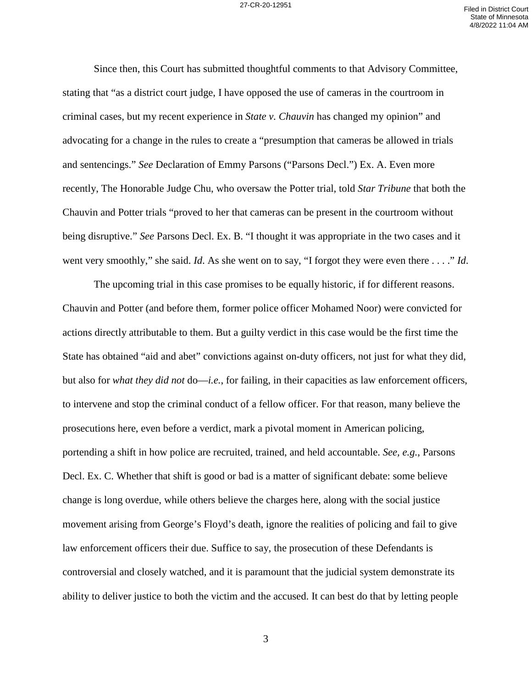Since then, this Court has submitted thoughtful comments to that Advisory Committee, stating that "as a district court judge, I have opposed the use of cameras in the courtroom in criminal cases, but my recent experience in *State v. Chauvin* has changed my opinion" and advocating for a change in the rules to create a "presumption that cameras be allowed in trials and sentencings." *See* Declaration of Emmy Parsons ("Parsons Decl.") Ex. A. Even more recently, The Honorable Judge Chu, who oversaw the Potter trial, told *Star Tribune* that both the Chauvin and Potter trials "proved to her that cameras can be present in the courtroom without being disruptive." *See* Parsons Decl. Ex. B. "I thought it was appropriate in the two cases and it went very smoothly," she said. *Id*. As she went on to say, "I forgot they were even there . . . ." *Id*.

The upcoming trial in this case promises to be equally historic, if for different reasons. Chauvin and Potter (and before them, former police officer Mohamed Noor) were convicted for actions directly attributable to them. But a guilty verdict in this case would be the first time the State has obtained "aid and abet" convictions against on-duty officers, not just for what they did, but also for *what they did not* do—*i.e.*, for failing, in their capacities as law enforcement officers, to intervene and stop the criminal conduct of a fellow officer. For that reason, many believe the prosecutions here, even before a verdict, mark a pivotal moment in American policing, portending a shift in how police are recruited, trained, and held accountable. *See, e.g.*, Parsons Decl. Ex. C. Whether that shift is good or bad is a matter of significant debate: some believe change is long overdue, while others believe the charges here, along with the social justice movement arising from George's Floyd's death, ignore the realities of policing and fail to give law enforcement officers their due. Suffice to say, the prosecution of these Defendants is controversial and closely watched, and it is paramount that the judicial system demonstrate its ability to deliver justice to both the victim and the accused. It can best do that by letting people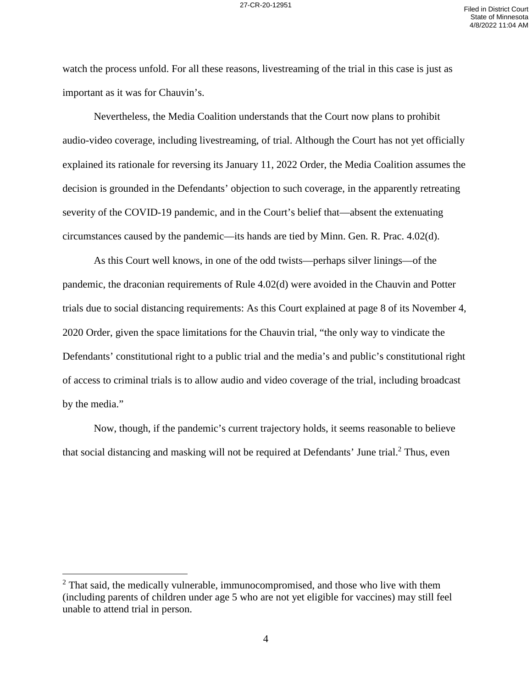watch the process unfold. For all these reasons, livestreaming of the trial in this case is just as important as it was for Chauvin's.

Nevertheless, the Media Coalition understands that the Court now plans to prohibit audio-video coverage, including livestreaming, of trial. Although the Court has not yet officially explained its rationale for reversing its January 11, 2022 Order, the Media Coalition assumes the decision is grounded in the Defendants' objection to such coverage, in the apparently retreating severity of the COVID-19 pandemic, and in the Court's belief that—absent the extenuating circumstances caused by the pandemic—its hands are tied by Minn. Gen. R. Prac. 4.02(d).

As this Court well knows, in one of the odd twists—perhaps silver linings—of the pandemic, the draconian requirements of Rule 4.02(d) were avoided in the Chauvin and Potter trials due to social distancing requirements: As this Court explained at page 8 of its November 4, 2020 Order, given the space limitations for the Chauvin trial, "the only way to vindicate the Defendants' constitutional right to a public trial and the media's and public's constitutional right of access to criminal trials is to allow audio and video coverage of the trial, including broadcast by the media."

Now, though, if the pandemic's current trajectory holds, it seems reasonable to believe that social distancing and masking will not be required at Defendants' June trial. $2$  Thus, even

 $2$  That said, the medically vulnerable, immunocompromised, and those who live with them (including parents of children under age 5 who are not yet eligible for vaccines) may still feel unable to attend trial in person.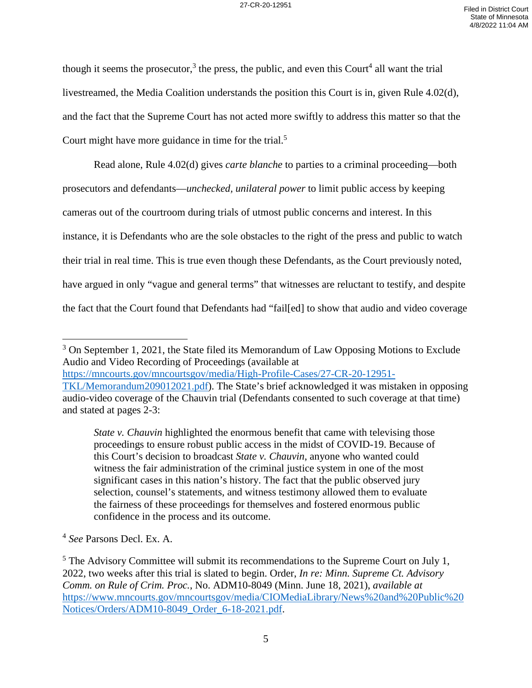though it seems the prosecutor,<sup>3</sup> the press, the public, and even this Court<sup>4</sup> all want the trial livestreamed, the Media Coalition understands the position this Court is in, given Rule 4.02(d), and the fact that the Supreme Court has not acted more swiftly to address this matter so that the Court might have more guidance in time for the trial.<sup>5</sup>

Read alone, Rule 4.02(d) gives *carte blanche* to parties to a criminal proceeding—both prosecutors and defendants—*unchecked, unilateral power* to limit public access by keeping cameras out of the courtroom during trials of utmost public concerns and interest. In this instance, it is Defendants who are the sole obstacles to the right of the press and public to watch their trial in real time. This is true even though these Defendants, as the Court previously noted, have argued in only "vague and general terms" that witnesses are reluctant to testify, and despite the fact that the Court found that Defendants had "fail[ed] to show that audio and video coverage

<sup>3</sup> On September 1, 2021, the State filed its Memorandum of Law Opposing Motions to Exclude Audio and Video Recording of Proceedings (available at [https://mncourts.gov/mncourtsgov/media/High-Profile-Cases/27-CR-20-12951-](https://mncourts.gov/mncourtsgov/media/High-Profile-Cases/27-CR-20-12951-TKL/Memorandum209012021.pdf)

*State v. Chauvin* highlighted the enormous benefit that came with televising those proceedings to ensure robust public access in the midst of COVID-19. Because of this Court's decision to broadcast *State v. Chauvin*, anyone who wanted could witness the fair administration of the criminal justice system in one of the most significant cases in this nation's history. The fact that the public observed jury selection, counsel's statements, and witness testimony allowed them to evaluate the fairness of these proceedings for themselves and fostered enormous public confidence in the process and its outcome.

4 *See* Parsons Decl. Ex. A.

[TKL/Memorandum209012021.pdf\)](https://mncourts.gov/mncourtsgov/media/High-Profile-Cases/27-CR-20-12951-TKL/Memorandum209012021.pdf). The State's brief acknowledged it was mistaken in opposing audio-video coverage of the Chauvin trial (Defendants consented to such coverage at that time) and stated at pages 2-3:

 $<sup>5</sup>$  The Advisory Committee will submit its recommendations to the Supreme Court on July 1,</sup> 2022, two weeks after this trial is slated to begin. Order, *In re: Minn. Supreme Ct. Advisory Comm. on Rule of Crim. Proc.*, No. ADM10-8049 (Minn. June 18, 2021), *available at*  [https://www.mncourts.gov/mncourtsgov/media/CIOMediaLibrary/News%20and%20Public%20](https://www.mncourts.gov/mncourtsgov/media/CIOMediaLibrary/News%20and%20Public%20Notices/Orders/ADM10-8049_Order_6-18-2021.pdf) [Notices/Orders/ADM10-8049\\_Order\\_6-18-2021.pdf.](https://www.mncourts.gov/mncourtsgov/media/CIOMediaLibrary/News%20and%20Public%20Notices/Orders/ADM10-8049_Order_6-18-2021.pdf)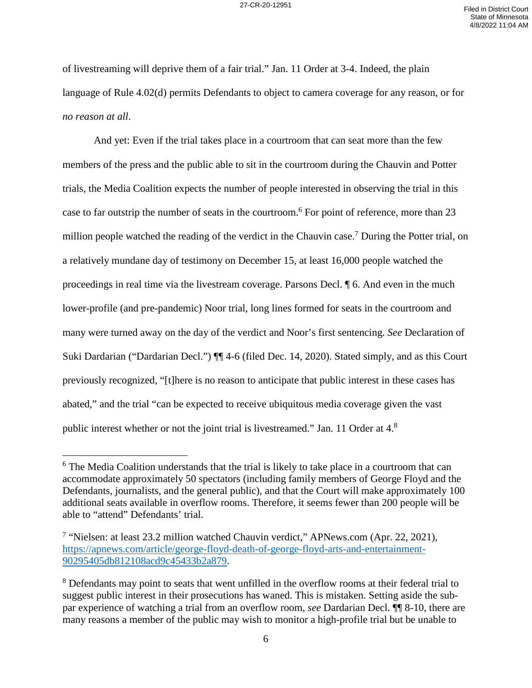of livestreaming will deprive them of a fair trial." Jan. 11 Order at 3-4. Indeed, the plain language of Rule 4.02(d) permits Defendants to object to camera coverage for any reason, or for *no reason at all*.

And yet: Even if the trial takes place in a courtroom that can seat more than the few members of the press and the public able to sit in the courtroom during the Chauvin and Potter trials, the Media Coalition expects the number of people interested in observing the trial in this case to far outstrip the number of seats in the courtroom.<sup>6</sup> For point of reference, more than 23 million people watched the reading of the verdict in the Chauvin case.<sup>7</sup> During the Potter trial, on a relatively mundane day of testimony on December 15, at least 16,000 people watched the proceedings in real time via the livestream coverage. Parsons Decl. ¶ 6. And even in the much lower-profile (and pre-pandemic) Noor trial, long lines formed for seats in the courtroom and many were turned away on the day of the verdict and Noor's first sentencing. *See* Declaration of Suki Dardarian ("Dardarian Decl.") ¶¶ 4-6 (filed Dec. 14, 2020). Stated simply, and as this Court previously recognized, "[t]here is no reason to anticipate that public interest in these cases has abated," and the trial "can be expected to receive ubiquitous media coverage given the vast public interest whether or not the joint trial is livestreamed." Jan. 11 Order at 4.<sup>8</sup>

1

<sup>&</sup>lt;sup>6</sup> The Media Coalition understands that the trial is likely to take place in a courtroom that can accommodate approximately 50 spectators (including family members of George Floyd and the Defendants, journalists, and the general public), and that the Court will make approximately 100 additional seats available in overflow rooms. Therefore, it seems fewer than 200 people will be able to "attend" Defendants' trial.

<sup>&</sup>lt;sup>7</sup> "Nielsen: at least 23.2 million watched Chauvin verdict," APNews.com (Apr. 22, 2021), [https://apnews.com/article/george-floyd-death-of-george-floyd-arts-and-entertainment-](https://apnews.com/article/george-floyd-death-of-george-floyd-arts-and-entertainment-90295405db812108acd9c45433b2a879)[90295405db812108acd9c45433b2a879.](https://apnews.com/article/george-floyd-death-of-george-floyd-arts-and-entertainment-90295405db812108acd9c45433b2a879)

<sup>&</sup>lt;sup>8</sup> Defendants may point to seats that went unfilled in the overflow rooms at their federal trial to suggest public interest in their prosecutions has waned. This is mistaken. Setting aside the subpar experience of watching a trial from an overflow room, *see* Dardarian Decl. ¶¶ 8-10, there are many reasons a member of the public may wish to monitor a high-profile trial but be unable to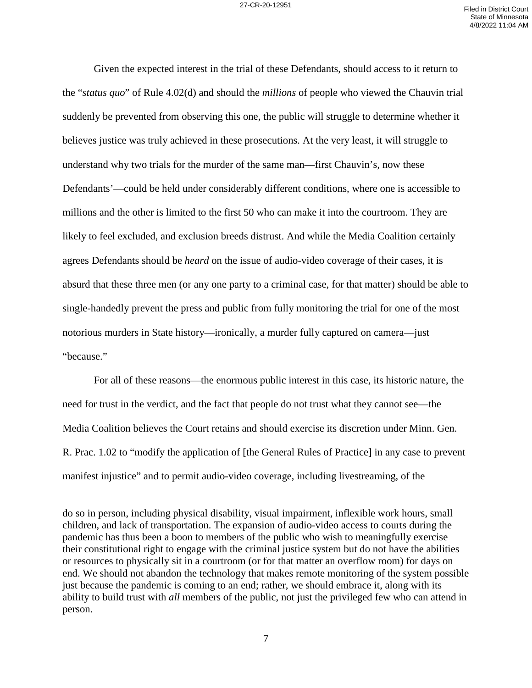Given the expected interest in the trial of these Defendants, should access to it return to the "*status quo*" of Rule 4.02(d) and should the *millions* of people who viewed the Chauvin trial suddenly be prevented from observing this one, the public will struggle to determine whether it believes justice was truly achieved in these prosecutions. At the very least, it will struggle to understand why two trials for the murder of the same man—first Chauvin's, now these Defendants'—could be held under considerably different conditions, where one is accessible to millions and the other is limited to the first 50 who can make it into the courtroom. They are likely to feel excluded, and exclusion breeds distrust. And while the Media Coalition certainly agrees Defendants should be *heard* on the issue of audio-video coverage of their cases, it is absurd that these three men (or any one party to a criminal case, for that matter) should be able to single-handedly prevent the press and public from fully monitoring the trial for one of the most notorious murders in State history—ironically, a murder fully captured on camera—just "because."

For all of these reasons—the enormous public interest in this case, its historic nature, the need for trust in the verdict, and the fact that people do not trust what they cannot see—the Media Coalition believes the Court retains and should exercise its discretion under Minn. Gen. R. Prac. 1.02 to "modify the application of [the General Rules of Practice] in any case to prevent manifest injustice" and to permit audio-video coverage, including livestreaming, of the

do so in person, including physical disability, visual impairment, inflexible work hours, small children, and lack of transportation. The expansion of audio-video access to courts during the pandemic has thus been a boon to members of the public who wish to meaningfully exercise their constitutional right to engage with the criminal justice system but do not have the abilities or resources to physically sit in a courtroom (or for that matter an overflow room) for days on end. We should not abandon the technology that makes remote monitoring of the system possible just because the pandemic is coming to an end; rather, we should embrace it, along with its ability to build trust with *all* members of the public, not just the privileged few who can attend in person.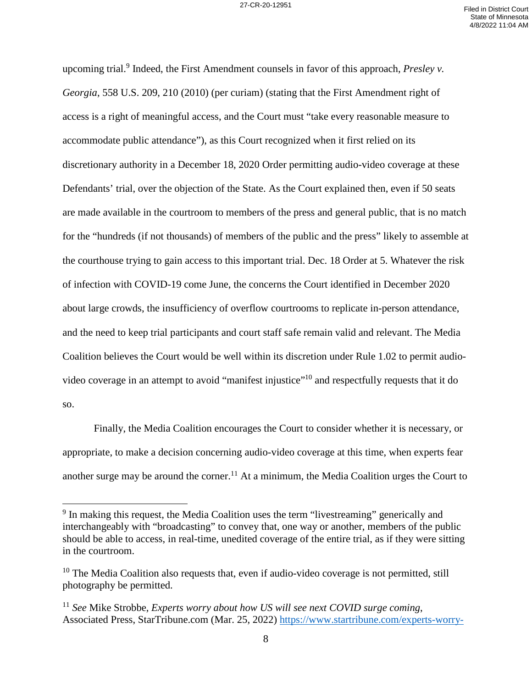upcoming trial.<sup>9</sup> Indeed, the First Amendment counsels in favor of this approach, *Presley v. Georgia*, 558 U.S. 209, 210 (2010) (per curiam) (stating that the First Amendment right of access is a right of meaningful access, and the Court must "take every reasonable measure to accommodate public attendance"), as this Court recognized when it first relied on its discretionary authority in a December 18, 2020 Order permitting audio-video coverage at these Defendants' trial, over the objection of the State. As the Court explained then, even if 50 seats are made available in the courtroom to members of the press and general public, that is no match for the "hundreds (if not thousands) of members of the public and the press" likely to assemble at the courthouse trying to gain access to this important trial. Dec. 18 Order at 5. Whatever the risk of infection with COVID-19 come June, the concerns the Court identified in December 2020 about large crowds, the insufficiency of overflow courtrooms to replicate in-person attendance, and the need to keep trial participants and court staff safe remain valid and relevant. The Media Coalition believes the Court would be well within its discretion under Rule 1.02 to permit audiovideo coverage in an attempt to avoid "manifest injustice"<sup>10</sup> and respectfully requests that it do so.

Finally, the Media Coalition encourages the Court to consider whether it is necessary, or appropriate, to make a decision concerning audio-video coverage at this time, when experts fear another surge may be around the corner.<sup>11</sup> At a minimum, the Media Coalition urges the Court to

<sup>&</sup>lt;sup>9</sup> In making this request, the Media Coalition uses the term "livestreaming" generically and interchangeably with "broadcasting" to convey that, one way or another, members of the public should be able to access, in real-time, unedited coverage of the entire trial, as if they were sitting in the courtroom.

 $10$  The Media Coalition also requests that, even if audio-video coverage is not permitted, still photography be permitted.

<sup>11</sup> *See* Mike Strobbe, *Experts worry about how US will see next COVID surge coming*, Associated Press, StarTribune.com (Mar. 25, 2022) [https://www.startribune.com/experts-worry-](https://www.startribune.com/experts-worry-about-how-us-will-see-next-covid-surge-coming/600159272/)